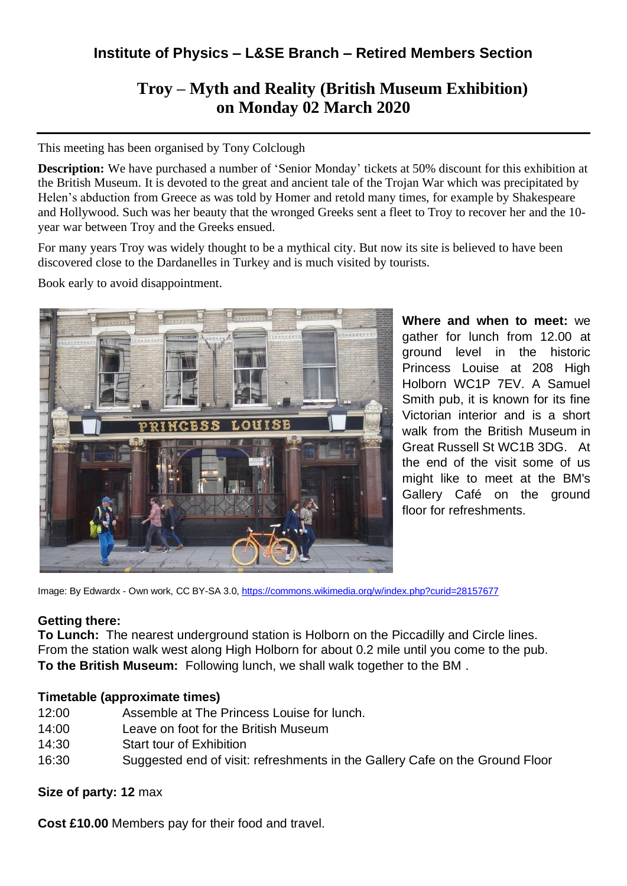## **Institute of Physics – L&SE Branch – Retired Members Section**

# **Troy – Myth and Reality (British Museum Exhibition) on Monday 02 March 2020**

This meeting has been organised by Tony Colclough

**Description:** We have purchased a number of 'Senior Monday' tickets at 50% discount for this exhibition at the British Museum. It is devoted to the great and ancient tale of the Trojan War which was precipitated by Helen's abduction from Greece as was told by Homer and retold many times, for example by Shakespeare and Hollywood. Such was her beauty that the wronged Greeks sent a fleet to Troy to recover her and the 10 year war between Troy and the Greeks ensued.

For many years Troy was widely thought to be a mythical city. But now its site is believed to have been discovered close to the Dardanelles in Turkey and is much visited by tourists.

Book early to avoid disappointment.



**Where and when to meet:** we gather for lunch from 12.00 at ground level in the historic Princess Louise at 208 High Holborn WC1P 7EV. A Samuel Smith pub, it is known for its fine Victorian interior and is a short walk from the British Museum in Great Russell St WC1B 3DG. At the end of the visit some of us might like to meet at the BM's Gallery Café on the ground floor for refreshments.

Image: By Edwardx - Own work, CC BY-SA 3.0, <https://commons.wikimedia.org/w/index.php?curid=28157677>

#### **Getting there:**

**To Lunch:** The nearest underground station is Holborn on the Piccadilly and Circle lines. From the station walk west along High Holborn for about 0.2 mile until you come to the pub. **To the British Museum:** Following lunch, we shall walk together to the BM .

## **Timetable (approximate times)**

- 12:00 Assemble at The Princess Louise for lunch.
- 14:00 Leave on foot for the British Museum
- 14:30 Start tour of Exhibition
- 16:30 Suggested end of visit: refreshments in the Gallery Cafe on the Ground Floor

## **Size of party: 12** max

**Cost £10.00** Members pay for their food and travel.